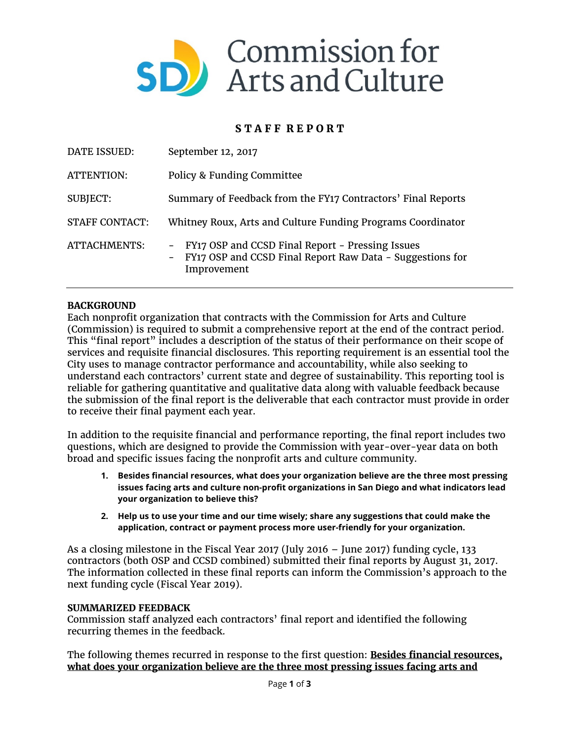

# **S T A F F R E P O R T**

| DATE ISSUED:          | September 12, 2017                                                                                                                            |
|-----------------------|-----------------------------------------------------------------------------------------------------------------------------------------------|
| ATTENTION:            | Policy & Funding Committee                                                                                                                    |
| <b>SUBJECT:</b>       | Summary of Feedback from the FY17 Contractors' Final Reports                                                                                  |
| <b>STAFF CONTACT:</b> | Whitney Roux, Arts and Culture Funding Programs Coordinator                                                                                   |
| ATTACHMENTS:          | FY17 OSP and CCSD Final Report - Pressing Issues<br>$-$<br>FY17 OSP and CCSD Final Report Raw Data - Suggestions for<br>$\sim$<br>Improvement |

## **BACKGROUND**

Each nonprofit organization that contracts with the Commission for Arts and Culture (Commission) is required to submit a comprehensive report at the end of the contract period. This "final report" includes a description of the status of their performance on their scope of services and requisite financial disclosures. This reporting requirement is an essential tool the City uses to manage contractor performance and accountability, while also seeking to understand each contractors' current state and degree of sustainability. This reporting tool is reliable for gathering quantitative and qualitative data along with valuable feedback because the submission of the final report is the deliverable that each contractor must provide in order to receive their final payment each year.

In addition to the requisite financial and performance reporting, the final report includes two questions, which are designed to provide the Commission with year-over-year data on both broad and specific issues facing the nonprofit arts and culture community.

- **1. Besides financial resources, what does your organization believe are the three most pressing issues facing arts and culture non-profit organizations in San Diego and what indicators lead your organization to believe this?**
- **2. Help us to use your time and our time wisely; share any suggestions that could make the application, contract or payment process more user-friendly for your organization.**

As a closing milestone in the Fiscal Year 2017 (July 2016 – June 2017) funding cycle, 133 contractors (both OSP and CCSD combined) submitted their final reports by August 31, 2017. The information collected in these final reports can inform the Commission's approach to the next funding cycle (Fiscal Year 2019).

### **SUMMARIZED FEEDBACK**

Commission staff analyzed each contractors' final report and identified the following recurring themes in the feedback.

The following themes recurred in response to the first question: **Besides financial resources, what does your organization believe are the three most pressing issues facing arts and**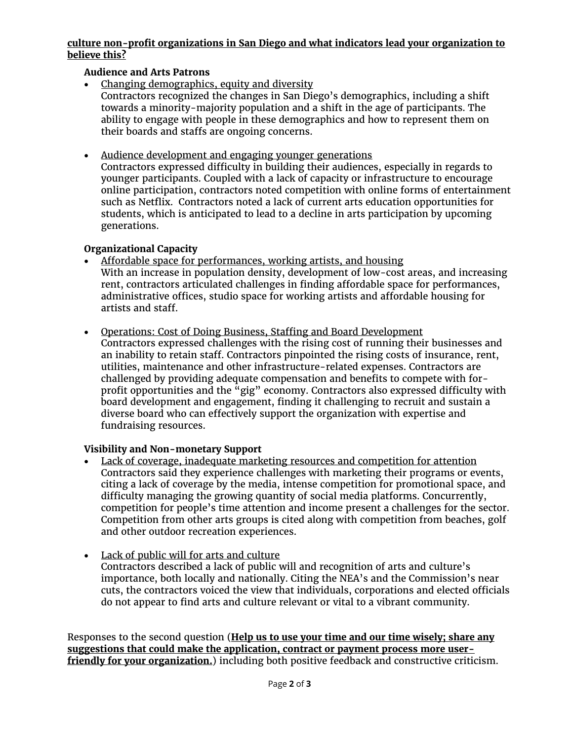## **culture non-profit organizations in San Diego and what indicators lead your organization to believe this?**

## **Audience and Arts Patrons**

- Changing demographics, equity and diversity Contractors recognized the changes in San Diego's demographics, including a shift towards a minority-majority population and a shift in the age of participants. The ability to engage with people in these demographics and how to represent them on their boards and staffs are ongoing concerns.
- Audience development and engaging younger generations

Contractors expressed difficulty in building their audiences, especially in regards to younger participants. Coupled with a lack of capacity or infrastructure to encourage online participation, contractors noted competition with online forms of entertainment such as Netflix. Contractors noted a lack of current arts education opportunities for students, which is anticipated to lead to a decline in arts participation by upcoming generations.

## **Organizational Capacity**

- Affordable space for performances, working artists, and housing With an increase in population density, development of low-cost areas, and increasing rent, contractors articulated challenges in finding affordable space for performances, administrative offices, studio space for working artists and affordable housing for artists and staff.
- Operations: Cost of Doing Business, Staffing and Board Development Contractors expressed challenges with the rising cost of running their businesses and an inability to retain staff. Contractors pinpointed the rising costs of insurance, rent, utilities, maintenance and other infrastructure-related expenses. Contractors are challenged by providing adequate compensation and benefits to compete with forprofit opportunities and the "gig" economy. Contractors also expressed difficulty with board development and engagement, finding it challenging to recruit and sustain a diverse board who can effectively support the organization with expertise and fundraising resources.

## **Visibility and Non-monetary Support**

• Lack of coverage, inadequate marketing resources and competition for attention Contractors said they experience challenges with marketing their programs or events, citing a lack of coverage by the media, intense competition for promotional space, and difficulty managing the growing quantity of social media platforms. Concurrently, competition for people's time attention and income present a challenges for the sector. Competition from other arts groups is cited along with competition from beaches, golf and other outdoor recreation experiences.

## • Lack of public will for arts and culture

Contractors described a lack of public will and recognition of arts and culture's importance, both locally and nationally. Citing the NEA's and the Commission's near cuts, the contractors voiced the view that individuals, corporations and elected officials do not appear to find arts and culture relevant or vital to a vibrant community.

Responses to the second question (**Help us to use your time and our time wisely; share any suggestions that could make the application, contract or payment process more userfriendly for your organization.**) including both positive feedback and constructive criticism.